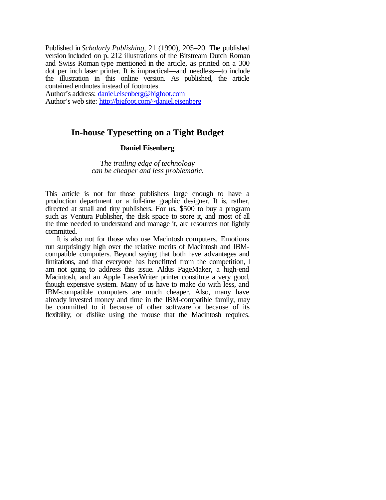Published in *Scholarly Publishing*, 21 (1990), 205–20. The published version included on p. 212 illustrations of the Bitstream Dutch Roman and Swiss Roman type mentioned in the article, as printed on a 300 dot per inch laser printer. It is impractical—and needless—to include the illustration in this online version. As published, the article contained endnotes instead of footnotes.

Author's address: daniel.eisenberg@bigfoot.com Author's web site: http://bigfoot.com/~daniel.eisenberg

# **In-house Typesetting on a Tight Budget**

# **Daniel Eisenberg**

*The trailing edge of technology can be cheaper and less problematic.*

This article is not for those publishers large enough to have a production department or a full-time graphic designer. It is, rather, directed at small and tiny publishers. For us, \$500 to buy a program such as Ventura Publisher, the disk space to store it, and most of all the time needed to understand and manage it, are resources not lightly committed.

It is also not for those who use Macintosh computers. Emotions run surprisingly high over the relative merits of Macintosh and IBMcompatible computers. Beyond saying that both have advantages and limitations, and that everyone has benefitted from the competition, I am not going to address this issue. Aldus PageMaker, a high-end Macintosh, and an Apple LaserWriter printer constitute a very good, though expensive system. Many of us have to make do with less, and IBM-compatible computers are much cheaper. Also, many have already invested money and time in the IBM-compatible family, may be committed to it because of other software or because of its flexibility, or dislike using the mouse that the Macintosh requires.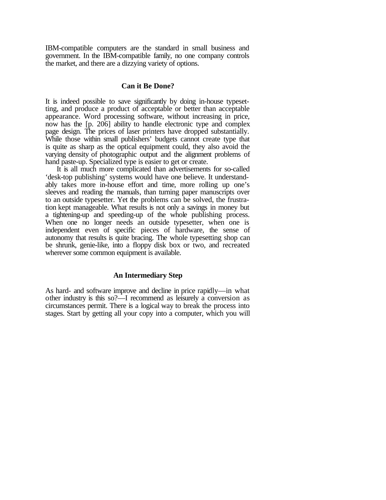IBM-compatible computers are the standard in small business and government. In the IBM-compatible family, no one company controls the market, and there are a dizzying variety of options.

# **Can it Be Done?**

It is indeed possible to save significantly by doing in-house typesetting, and produce a product of acceptable or better than acceptable appearance. Word processing software, without increasing in price, now has the [p. 206] ability to handle electronic type and complex page design. The prices of laser printers have dropped substantially. While those within small publishers' budgets cannot create type that is quite as sharp as the optical equipment could, they also avoid the varying density of photographic output and the alignment problems of hand paste-up. Specialized type is easier to get or create.

It is all much more complicated than advertisements for so-called 'desk-top publishing' systems would have one believe. It understandably takes more in-house effort and time, more rolling up one's sleeves and reading the manuals, than turning paper manuscripts over to an outside typesetter. Yet the problems can be solved, the frustration kept manageable. What results is not only a savings in money but a tightening-up and speeding-up of the whole publishing process. When one no longer needs an outside typesetter, when one is independent even of specific pieces of hardware, the sense of autonomy that results is quite bracing. The whole typesetting shop can be shrunk, genie-like, into a floppy disk box or two, and recreated wherever some common equipment is available.

# **An Intermediary Step**

As hard- and software improve and decline in price rapidly—in what other industry is this so?—I recommend as leisurely a conversion as circumstances permit. There is a logical way to break the process into stages. Start by getting all your copy into a computer, which you will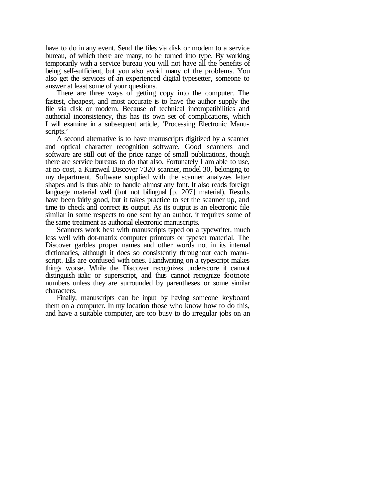have to do in any event. Send the files via disk or modem to a service bureau, of which there are many, to be turned into type. By working temporarily with a service bureau you will not have all the benefits of being self-sufficient, but you also avoid many of the problems. You also get the services of an experienced digital typesetter, someone to answer at least some of your questions.

There are three ways of getting copy into the computer. The fastest, cheapest, and most accurate is to have the author supply the file via disk or modem. Because of technical incompatibilities and authorial inconsistency, this has its own set of complications, which I will examine in a subsequent article, 'Processing Electronic Manuscripts.'

A second alternative is to have manuscripts digitized by a scanner and optical character recognition software. Good scanners and software are still out of the price range of small publications, though there are service bureaus to do that also. Fortunately I am able to use, at no cost, a Kurzweil Discover 7320 scanner, model 30, belonging to my department. Software supplied with the scanner analyzes letter shapes and is thus able to handle almost any font. It also reads foreign language material well (but not bilingual [p. 207] material). Results have been fairly good, but it takes practice to set the scanner up, and time to check and correct its output. As its output is an electronic file similar in some respects to one sent by an author, it requires some of the same treatment as authorial electronic manuscripts.

Scanners work best with manuscripts typed on a typewriter, much less well with dot-matrix computer printouts or typeset material. The Discover garbles proper names and other words not in its internal dictionaries, although it does so consistently throughout each manuscript. Ells are confused with ones. Handwriting on a typescript makes things worse. While the Discover recognizes underscore it cannot distinguish italic or superscript, and thus cannot recognize footnote numbers unless they are surrounded by parentheses or some similar characters.

Finally, manuscripts can be input by having someone keyboard them on a computer. In my location those who know how to do this, and have a suitable computer, are too busy to do irregular jobs on an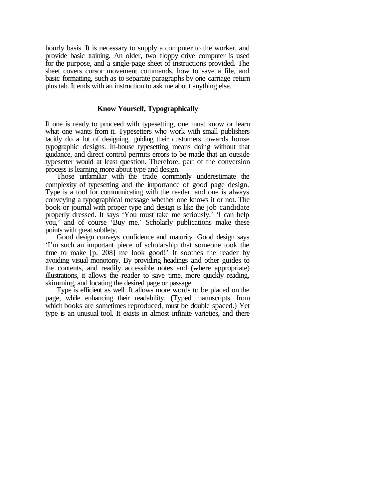hourly basis. It is necessary to supply a computer to the worker, and provide basic training. An older, two floppy drive computer is used for the purpose, and a single-page sheet of instructions provided. The sheet covers cursor movement commands, how to save a file, and basic formatting, such as to separate paragraphs by one carriage return plus tab. It ends with an instruction to ask me about anything else.

# **Know Yourself, Typographically**

If one is ready to proceed with typesetting, one must know or learn what one wants from it. Typesetters who work with small publishers tacitly do a lot of designing, guiding their customers towards house typographic designs. In-house typesetting means doing without that guidance, and direct control permits errors to be made that an outside typesetter would at least question. Therefore, part of the conversion process is learning more about type and design.

Those unfamiliar with the trade commonly underestimate the complexity of typesetting and the importance of good page design. Type is a tool for communicating with the reader, and one is always conveying a typographical message whether one knows it or not. The book or journal with proper type and design is like the job candidate properly dressed. It says 'You must take me seriously,' 'I can help you,' and of course 'Buy me.' Scholarly publications make these points with great subtlety.

Good design conveys confidence and maturity. Good design says 'I'm such an important piece of scholarship that someone took the time to make [p. 208] me look good!' It soothes the reader by avoiding visual monotony. By providing headings and other guides to the contents, and readily accessible notes and (where appropriate) illustrations, it allows the reader to save time, more quickly reading, skimming, and locating the desired page or passage.

Type is efficient as well. It allows more words to be placed on the page, while enhancing their readability. (Typed manuscripts, from which books are sometimes reproduced, must be double spaced.) Yet type is an unusual tool. It exists in almost infinite varieties, and there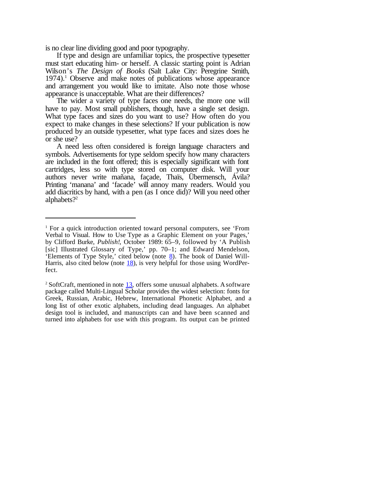is no clear line dividing good and poor typography.

If type and design are unfamiliar topics, the prospective typesetter must start educating him- or herself. A classic starting point is Adrian Wilson's *The Design of Books* (Salt Lake City: Peregrine Smith,  $1974$ .<sup>1</sup> Observe and make notes of publications whose appearance and arrangement you would like to imitate. Also note those whose appearance is unacceptable. What are their differences?

The wider a variety of type faces one needs, the more one will have to pay. Most small publishers, though, have a single set design. What type faces and sizes do you want to use? How often do you expect to make changes in these selections? If your publication is now produced by an outside typesetter, what type faces and sizes does he or she use?

A need less often considered is foreign language characters and symbols. Advertisements for type seldom specify how many characters are included in the font offered; this is especially significant with font cartridges, less so with type stored on computer disk. Will your authors never write mañana, façade, Thaïs, Übermensch, Ávila? Printing 'manana' and 'facade' will annoy many readers. Would you add diacritics by hand, with a pen (as I once did)? Will you need other alphabets?2

<sup>&</sup>lt;sup>1</sup> For a quick introduction oriented toward personal computers, see 'From Verbal to Visual. How to Use Type as a Graphic Element on your Pages,' by Clifford Burke, *Publish!*, October 1989: 65–9, followed by 'A Publish [sic] Illustrated Glossary of Type,' pp. 70–1; and Edward Mendelson, 'Elements of Type Style,' cited below (note 8). The book of Daniel Will-Harris, also cited below (note  $\frac{18}{2}$ ), is very helpful for those using WordPerfect.

<sup>&</sup>lt;sup>2</sup> SoftCraft, mentioned in note  $13$ , offers some unusual alphabets. A software package called Multi-Lingual Scholar provides the widest selection: fonts for Greek, Russian, Arabic, Hebrew, International Phonetic Alphabet, and a long list of other exotic alphabets, including dead languages. An alphabet design tool is included, and manuscripts can and have been scanned and turned into alphabets for use with this program. Its output can be printed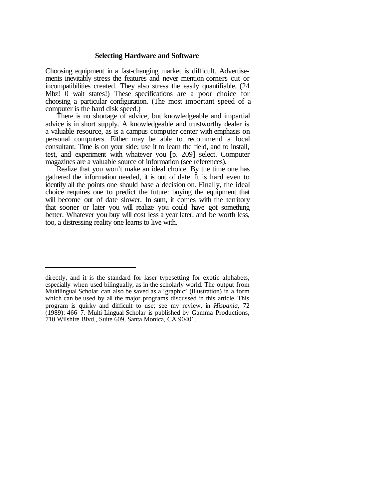# **Selecting Hardware and Software**

Choosing equipment in a fast-changing market is difficult. Advertisements inevitably stress the features and never mention corners cut or incompatibilities created. They also stress the easily quantifiable. (24 Mhz! 0 wait states!) These specifications are a poor choice for choosing a particular configuration. (The most important speed of a computer is the hard disk speed.)

There is no shortage of advice, but knowledgeable and impartial advice is in short supply. A knowledgeable and trustworthy dealer is a valuable resource, as is a campus computer center with emphasis on personal computers. Either may be able to recommend a local consultant. Time is on your side; use it to learn the field, and to install, test, and experiment with whatever you [p. 209] select. Computer magazines are a valuable source of information (see references).

Realize that you won't make an ideal choice. By the time one has gathered the information needed, it is out of date. It is hard even to identify all the points one should base a decision on. Finally, the ideal choice requires one to predict the future: buying the equipment that will become out of date slower. In sum, it comes with the territory that sooner or later you will realize you could have got something better. Whatever you buy will cost less a year later, and be worth less, too, a distressing reality one learns to live with.

directly, and it is the standard for laser typesetting for exotic alphabets, especially when used bilingually, as in the scholarly world. The output from Multilingual Scholar can also be saved as a 'graphic' (illustration) in a form which can be used by all the major programs discussed in this article. This program is quirky and difficult to use; see my review, in *Hispania*, 72 (1989): 466–7. Multi-Lingual Scholar is published by Gamma Productions, 710 Wilshire Blvd., Suite 609, Santa Monica, CA 90401.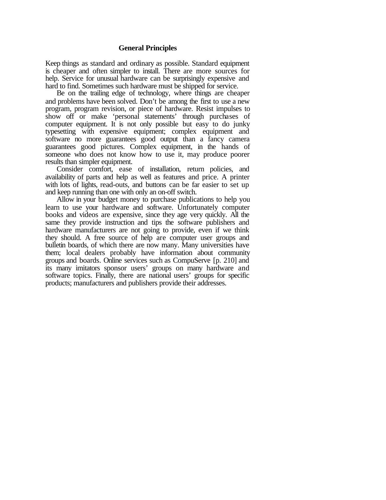# **General Principles**

Keep things as standard and ordinary as possible. Standard equipment is cheaper and often simpler to install. There are more sources for help. Service for unusual hardware can be surprisingly expensive and hard to find. Sometimes such hardware must be shipped for service.

Be on the trailing edge of technology, where things are cheaper and problems have been solved. Don't be among the first to use a new program, program revision, or piece of hardware. Resist impulses to show off or make 'personal statements' through purchases of computer equipment. It is not only possible but easy to do junky typesetting with expensive equipment; complex equipment and software no more guarantees good output than a fancy camera guarantees good pictures. Complex equipment, in the hands of someone who does not know how to use it, may produce poorer results than simpler equipment.

Consider comfort, ease of installation, return policies, and availability of parts and help as well as features and price. A printer with lots of lights, read-outs, and buttons can be far easier to set up and keep running than one with only an on-off switch.

Allow in your budget money to purchase publications to help you learn to use your hardware and software. Unfortunately computer books and videos are expensive, since they age very quickly. All the same they provide instruction and tips the software publishers and hardware manufacturers are not going to provide, even if we think they should. A free source of help are computer user groups and bulletin boards, of which there are now many. Many universities have them; local dealers probably have information about community groups and boards. Online services such as CompuServe [p. 210] and its many imitators sponsor users' groups on many hardware and software topics. Finally, there are national users' groups for specific products; manufacturers and publishers provide their addresses.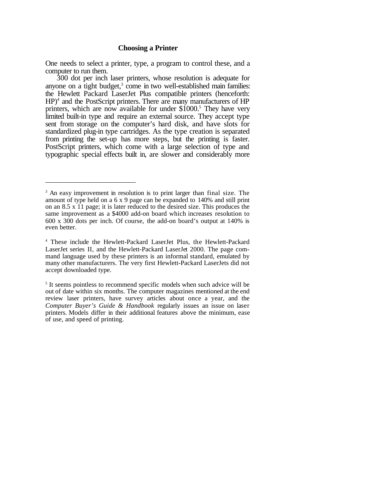One needs to select a printer, type, a program to control these, and a computer to run them.

300 dot per inch laser printers, whose resolution is adequate for anyone on a tight budget,<sup>3</sup> come in two well-established main families: the Hewlett Packard LaserJet Plus compatible printers (henceforth: HP)<sup>4</sup> and the PostScript printers. There are many manufacturers of HP printers, which are now available for under  $$1000$ <sup>5</sup>. They have very limited built-in type and require an external source. They accept type sent from storage on the computer's hard disk, and have slots for standardized plug-in type cartridges. As the type creation is separated from printing the set-up has more steps, but the printing is faster. PostScript printers, which come with a large selection of type and typographic special effects built in, are slower and considerably more

<sup>&</sup>lt;sup>3</sup> An easy improvement in resolution is to print larger than final size. The amount of type held on a 6 x 9 page can be expanded to 140% and still print on an 8.5 x 11 page; it is later reduced to the desired size. This produces the same improvement as a \$4000 add-on board which increases resolution to 600 x 300 dots per inch. Of course, the add-on board's output at 140% is even better.

<sup>4</sup> These include the Hewlett-Packard LaserJet Plus, the Hewlett-Packard LaserJet series II, and the Hewlett-Packard LaserJet 2000. The page command language used by these printers is an informal standard, emulated by many other manufacturers. The very first Hewlett-Packard LaserJets did not accept downloaded type.

<sup>&</sup>lt;sup>5</sup> It seems pointless to recommend specific models when such advice will be out of date within six months. The computer magazines mentioned at the end review laser printers, have survey articles about once a year, and the *Computer Buyer's Guide & Handbook* regularly issues an issue on laser printers. Models differ in their additional features above the minimum, ease of use, and speed of printing.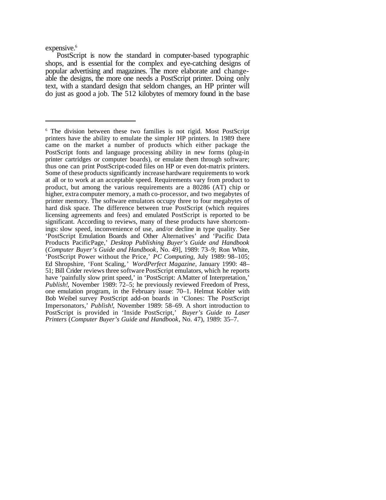expensive.<sup>6</sup>

PostScript is now the standard in computer-based typographic shops, and is essential for the complex and eve-catching designs of popular advertising and magazines. The more elaborate and changeable the designs, the more one needs a PostScript printer. Doing only text, with a standard design that seldom changes, an HP printer will do just as good a job. The 512 kilobytes of memory found in the base

<sup>6</sup> The division between these two families is not rigid. Most PostScript printers have the ability to emulate the simpler HP printers. In 1989 there came on the market a number of products which either package the PostScript fonts and language processing ability in new forms (plug-in printer cartridges or computer boards), or emulate them through software; thus one can print PostScript-coded files on HP or even dot-matrix printers. Some of these products significantly increase hardware requirements to work at all or to work at an acceptable speed. Requirements vary from product to product, but among the various requirements are a 80286 (AT) chip or higher, extra computer memory, a math co-processor, and two megabytes of printer memory. The software emulators occupy three to four megabytes of hard disk space. The difference between true PostScript (which requires licensing agreements and fees) and emulated PostScript is reported to be significant. According to reviews, many of these products have shortcomings: slow speed, inconvenience of use, and/or decline in type quality. See 'PostScript Emulation Boards and Other Alternatives' and 'Pacific Data Products PacificPage,' *Desktop Publishing Buyer's Guide and Handbook* (*Computer Buyer's Guide and Handbook*, No. 49], 1989: 73–9; Ron White, 'PostScript Power without the Price,' *PC Computing*, July 1989: 98–105; Ed Shropshire, 'Font Scaling,' *WordPerfect Magazine*, January 1990: 48– 51; Bill Crider reviews three software PostScript emulators, which he reports have 'painfully slow print speed,' in 'PostScript: AMatter of Interpretation,' *Publish!*, November 1989: 72–5; he previously reviewed Freedom of Press, one emulation program, in the February issue: 70–1. Helmut Kobler with Bob Weibel survey PostScript add-on boards in 'Clones: The PostScript Impersonators,' *Publish!*, November 1989: 58–69. A short introduction to PostScript is provided in 'Inside PostScript,' *Buyer's Guide to Laser Printers* (*Computer Buyer's Guide and Handbook*, No. 47), 1989: 35–7.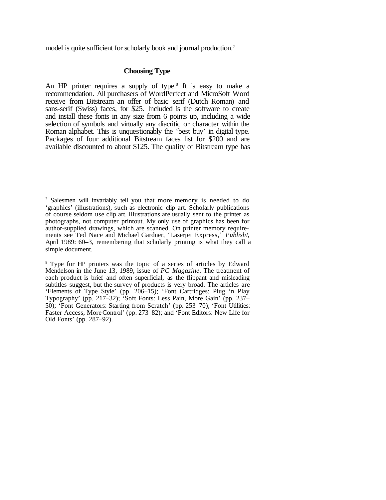model is quite sufficient for scholarly book and journal production.<sup>7</sup>

# **Choosing Type**

An HP printer requires a supply of type.<sup>8</sup> It is easy to make a recommendation. All purchasers of WordPerfect and MicroSoft Word receive from Bitstream an offer of basic serif (Dutch Roman) and sans-serif (Swiss) faces, for \$25. Included is the software to create and install these fonts in any size from 6 points up, including a wide selection of symbols and virtually any diacritic or character within the Roman alphabet. This is unquestionably the 'best buy' in digital type. Packages of four additional Bitstream faces list for \$200 and are available discounted to about \$125. The quality of Bitstream type has

<sup>7</sup> Salesmen will invariably tell you that more memory is needed to do 'graphics' (illustrations), such as electronic clip art. Scholarly publications of course seldom use clip art. Illustrations are usually sent to the printer as photographs, not computer printout. My only use of graphics has been for author-supplied drawings, which are scanned. On printer memory requirements see Ted Nace and Michael Gardner, 'Laserjet Express,' *Publish!*, April 1989: 60–3, remembering that scholarly printing is what they call a simple document.

<sup>8</sup> Type for HP printers was the topic of a series of articles by Edward Mendelson in the June 13, 1989, issue of *PC Magazine*. The treatment of each product is brief and often superficial, as the flippant and misleading subtitles suggest, but the survey of products is very broad. The articles are 'Elements of Type Style' (pp. 206–15); 'Font Cartridges: Plug 'n Play Typography' (pp. 217–32); 'Soft Fonts: Less Pain, More Gain' (pp. 237– 50); 'Font Generators: Starting from Scratch' (pp. 253–70); 'Font Utilities: Faster Access, More Control' (pp. 273–82); and 'Font Editors: New Life for Old Fonts' (pp. 287–92).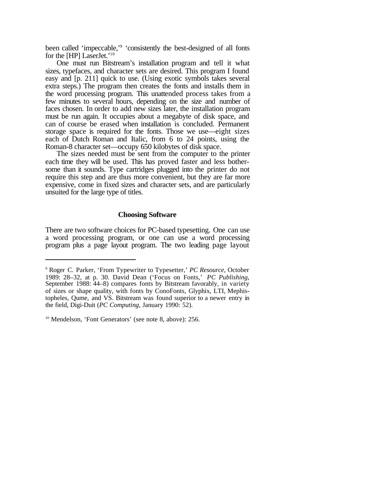been called 'impeccable,'<sup>9</sup> 'consistently the best-designed of all fonts for the [HP] LaserJet.'<sup>10</sup>

One must run Bitstream's installation program and tell it what sizes, typefaces, and character sets are desired. This program I found easy and [p. 211] quick to use. (Using exotic symbols takes several extra steps.) The program then creates the fonts and installs them in the word processing program. This unattended process takes from a few minutes to several hours, depending on the size and number of faces chosen. In order to add new sizes later, the installation program must be run again. It occupies about a megabyte of disk space, and can of course be erased when installation is concluded. Permanent storage space is required for the fonts. Those we use—eight sizes each of Dutch Roman and Italic, from 6 to 24 points, using the Roman-8 character set—occupy 650 kilobytes of disk space.

The sizes needed must be sent from the computer to the printer each time they will be used. This has proved faster and less bothersome than it sounds. Type cartridges plugged into the printer do not require this step and are thus more convenient, but they are far more expensive, come in fixed sizes and character sets, and are particularly unsuited for the large type of titles.

# **Choosing Software**

There are two software choices for PC-based typesetting. One can use a word processing program, or one can use a word processing program plus a page layout program. The two leading page layout

<sup>9</sup> Roger C. Parker, 'From Typewriter to Typesetter,' *PC Resource*, October 1989: 28–32, at p. 30. David Dean ('Focus on Fonts,' *PC Publishing*, September 1988: 44–8) compares fonts by Bitstream favorably, in variety of sizes or shape quality, with fonts by ConoFonts, Glyphix, LTI, Mephistopheles, Qume, and VS. Bitstream was found superior to a newer entry in the field, Digi-Duit (*PC Computing*, January 1990: 52).

<sup>&</sup>lt;sup>10</sup> Mendelson, 'Font Generators' (see note 8, above): 256.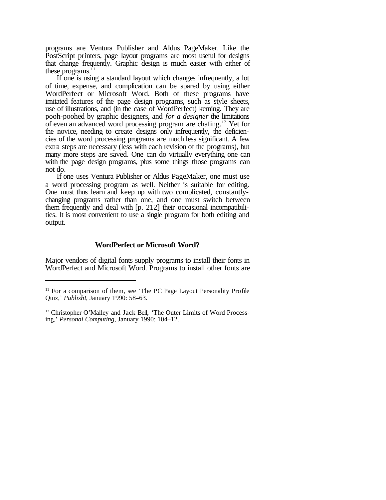programs are Ventura Publisher and Aldus PageMaker. Like the PostScript printers, page layout programs are most useful for designs that change frequently. Graphic design is much easier with either of these programs. $<sup>11</sup>$ </sup>

If one is using a standard layout which changes infrequently, a lot of time, expense, and complication can be spared by using either WordPerfect or Microsoft Word. Both of these programs have imitated features of the page design programs, such as style sheets, use of illustrations, and (in the case of WordPerfect) kerning. They are pooh-poohed by graphic designers, and *for a designer* the limitations of even an advanced word processing program are chafing.<sup>12</sup> Yet for the novice, needing to create designs only infrequently, the deficiencies of the word processing programs are much less significant. A few extra steps are necessary (less with each revision of the programs), but many more steps are saved. One can do virtually everything one can with the page design programs, plus some things those programs can not do.

If one uses Ventura Publisher or Aldus PageMaker, one must use a word processing program as well. Neither is suitable for editing. One must thus learn and keep up with two complicated, constantlychanging programs rather than one, and one must switch between them frequently and deal with [p. 212] their occasional incompatibilities. It is most convenient to use a single program for both editing and output.

### **WordPerfect or Microsoft Word?**

Major vendors of digital fonts supply programs to install their fonts in WordPerfect and Microsoft Word. Programs to install other fonts are

<sup>&</sup>lt;sup>11</sup> For a comparison of them, see 'The PC Page Layout Personality Profile Quiz,' *Publish!*, January 1990: 58–63.

<sup>&</sup>lt;sup>12</sup> Christopher O'Malley and Jack Bell, 'The Outer Limits of Word Processing,' *Personal Computing*, January 1990: 104–12.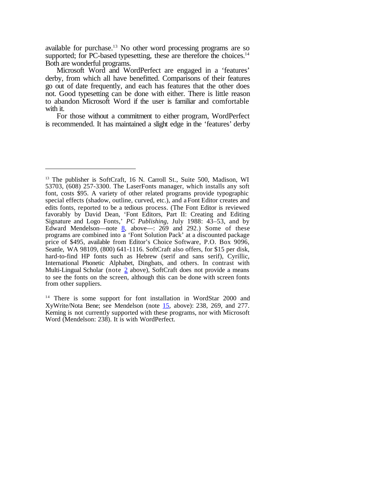available for purchase.<sup>13</sup> No other word processing programs are so supported; for PC-based typesetting, these are therefore the choices.<sup>14</sup> Both are wonderful programs.

Microsoft Word and WordPerfect are engaged in a 'features' derby, from which all have benefitted. Comparisons of their features go out of date frequently, and each has features that the other does not. Good typesetting can be done with either. There is little reason to abandon Microsoft Word if the user is familiar and comfortable with it.

For those without a commitment to either program, WordPerfect is recommended. It has maintained a slight edge in the 'features' derby

<sup>&</sup>lt;sup>13</sup> The publisher is SoftCraft, 16 N. Carroll St., Suite 500, Madison, WI 53703, (608) 257-3300. The LaserFonts manager, which installs any soft font, costs \$95. A variety of other related programs provide typographic special effects (shadow, outline, curved, etc.), and a Font Editor creates and edits fonts, reported to be a tedious process. (The Font Editor is reviewed favorably by David Dean, 'Font Editors, Part II: Creating and Editing Signature and Logo Fonts,' *PC Publishing*, July 1988: 43–53, and by Edward Mendelson—note  $8$ , above—: 269 and 292.) Some of these programs are combined into a 'Font Solution Pack' at a discounted package price of \$495, available from Editor's Choice Software, P.O. Box 9096, Seattle, WA 98109, (800) 641-1116. SoftCraft also offers, for \$15 per disk, hard-to-find HP fonts such as Hebrew (serif and sans serif), Cyrillic, International Phonetic Alphabet, Dingbats, and others. In contrast with Multi-Lingual Scholar (note  $2$  above), SoftCraft does not provide a means to see the fonts on the screen, although this can be done with screen fonts from other suppliers.

<sup>&</sup>lt;sup>14</sup> There is some support for font installation in WordStar 2000 and XyWrite/Nota Bene; see Mendelson (note 15, above): 238, 269, and 277. Kerning is not currently supported with these programs, nor with Microsoft Word (Mendelson: 238). It is with WordPerfect.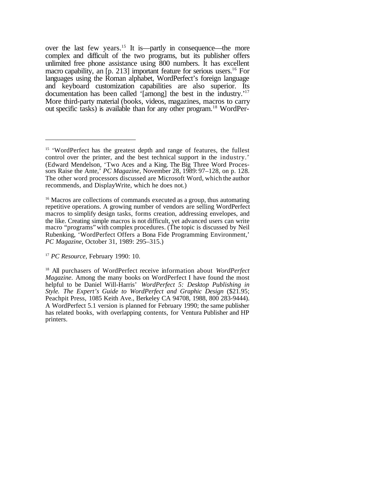over the last few years.<sup>15</sup> It is—partly in consequence—the more complex and difficult of the two programs, but its publisher offers unlimited free phone assistance using 800 numbers. It has excellent macro capability, an [p. 213] important feature for serious users.<sup>16</sup> For languages using the Roman alphabet, WordPerfect's foreign language and keyboard customization capabilities are also superior. Its documentation has been called '[among] the best in the industry.'<sup>17</sup> More third-party material (books, videos, magazines, macros to carry out specific tasks) is available than for any other program.<sup>18</sup> WordPer-

<sup>&</sup>lt;sup>15</sup> 'WordPerfect has the greatest depth and range of features, the fullest control over the printer, and the best technical support in the industry.' (Edward Mendelson, 'Two Aces and a King. The Big Three Word Processors Raise the Ante,' *PC Magazine*, November 28, 1989: 97–128, on p. 128. The other word processors discussed are Microsoft Word, which the author recommends, and DisplayWrite, which he does not.)

<sup>&</sup>lt;sup>16</sup> Macros are collections of commands executed as a group, thus automating repetitive operations. A growing number of vendors are selling WordPerfect macros to simplify design tasks, forms creation, addressing envelopes, and the like. Creating simple macros is not difficult, yet advanced users can write macro "programs" with complex procedures. (The topic is discussed by Neil Rubenking, 'WordPerfect Offers a Bona Fide Programming Environment,' *PC Magazine*, October 31, 1989: 295–315.)

<sup>17</sup> *PC Resource*, February 1990: 10.

<sup>18</sup> All purchasers of WordPerfect receive information about *WordPerfect Magazine*. Among the many books on WordPerfect I have found the most helpful to be Daniel Will-Harris' *WordPerfect 5: Desktop Publishing in Style. The Expert's Guide to WordPerfect and Graphic Design* (\$21.95; Peachpit Press, 1085 Keith Ave., Berkeley CA 94708, 1988, 800 283-9444). A WordPerfect 5.1 version is planned for February 1990; the same publisher has related books, with overlapping contents, for Ventura Publisher and HP printers.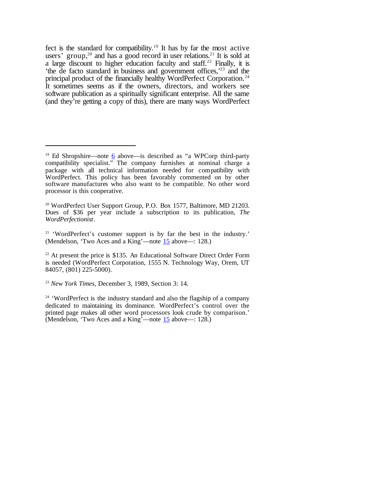fect is the standard for compatibility.<sup>19</sup> It has by far the most active users' group,<sup>20</sup> and has a good record in user relations.<sup>21</sup> It is sold at a large discount to higher education faculty and staff.<sup>22</sup> Finally, it is 'the de facto standard in business and government offices,'<sup>23</sup> and the principal product of the financially healthy WordPerfect Corporation.<sup>24</sup> It sometimes seems as if the owners, directors, and workers see software publication as a spiritually significant enterprise. All the same (and they're getting a copy of this), there are many ways WordPerfect

<sup>&</sup>lt;sup>19</sup> Ed Shropshire—note  $6$  above—is described as "a WPCorp third-party compatibility specialist." The company furnishes at nominal charge a package with all technical information needed for compatibility with WordPerfect. This policy has been favorably commented on by other software manufactures who also want to be compatible. No other word processor is this cooperative.

<sup>&</sup>lt;sup>20</sup> WordPerfect User Support Group, P.O. Box 1577, Baltimore, MD 21203. Dues of \$36 per year include a subscription to its publication, *The WordPerfectionist*.

<sup>&</sup>lt;sup>21</sup> 'WordPerfect's customer support is by far the best in the industry.' (Mendelson, 'Two Aces and a King'—note 15 above—: 128.)

 $22$  At present the price is \$135. An Educational Software Direct Order Form is needed (WordPerfect Corporation, 1555 N. Technology Way, Orem, UT 84057, (801) 225-5000).

<sup>23</sup> *New York Times*, December 3, 1989, Section 3: 14.

<sup>&</sup>lt;sup>24</sup> 'WordPerfect is the industry standard and also the flagship of a company dedicated to maintaining its dominance. WordPerfect's control over the printed page makes all other word processors look crude by comparison.' (Mendelson, 'Two Aces and a King'—note  $15$  above—: 128.)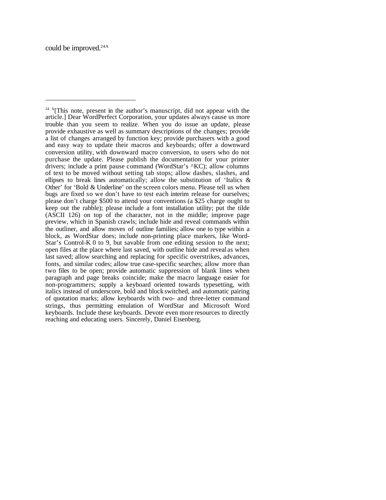<sup>&</sup>lt;sup>24 A</sup>[This note, present in the author's manuscript, did not appear with the article.] Dear WordPerfect Corporation, your updates always cause us more trouble than you seem to realize. When you do issue an update, please provide exhaustive as well as summary descriptions of the changes; provide a list of changes arranged by function key; provide purchasers with a good and easy way to update their macros and keyboards; offer a downward conversion utility, with downward macro conversion, to users who do not purchase the update. Please publish the documentation for your printer drivers; include a print pause command (WordStar's ^KC); allow columns of text to be moved without setting tab stops; allow dashes, slashes, and ellipses to break lines automatically; allow the substitution of 'Italics & Other' for 'Bold & Underline' on the screen colors menu. Please tell us when bugs are fixed so we don't have to test each interim release for ourselves; please don't charge \$500 to attend your conventions (a \$25 charge ought to keep out the rabble); please include a font installation utility; put the tilde (ASCII 126) on top of the character, not in the middle; improve page preview, which in Spanish crawls; include hide and reveal commands within the outliner, and allow moves of outline families; allow one to type within a block, as WordStar does; include non-printing place markers, like Word-Star's Control-K 0 to 9, but savable from one editing session to the next; open files at the place where last saved, with outline hide and reveal as when last saved; allow searching and replacing for specific overstrikes, advances, fonts, and similar codes; allow true case-specific searches; allow more than two files to be open; provide automatic suppression of blank lines when paragraph and page breaks coincide; make the macro language easier for non-programmers; supply a keyboard oriented towards typesetting, with italics instead of underscore, bold and block switched, and automatic pairing of quotation marks; allow keyboards with two- and three-letter command strings, thus permitting emulation of WordStar and Microsoft Word keyboards. Include these keyboards. Devote even more resources to directly reaching and educating users. Sincerely, Daniel Eisenberg.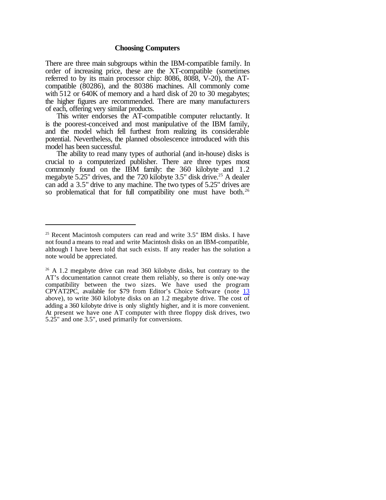# **Choosing Computers**

There are three main subgroups within the IBM-compatible family. In order of increasing price, these are the XT-compatible (sometimes referred to by its main processor chip: 8086, 8088, V-20), the ATcompatible (80286), and the 80386 machines. All commonly come with 512 or 640K of memory and a hard disk of 20 to 30 megabytes; the higher figures are recommended. There are many manufacturers of each, offering very similar products.

This writer endorses the AT-compatible computer reluctantly. It is the poorest-conceived and most manipulative of the IBM family, and the model which fell furthest from realizing its considerable potential. Nevertheless, the planned obsolescence introduced with this model has been successful.

The ability to read many types of authorial (and in-house) disks is crucial to a computerized publisher. There are three types most commonly found on the IBM family: the 360 kilobyte and 1.2 megabyte 5.25" drives, and the 720 kilobyte 3.5" disk drive.<sup>25</sup> A dealer can add a 3.5" drive to any machine. The two types of 5.25" drives are so problematical that for full compatibility one must have both.<sup>26</sup>

 $25$  Recent Macintosh computers can read and write  $3.5$ " IBM disks. I have not found a means to read and write Macintosh disks on an IBM-compatible, although I have been told that such exists. If any reader has the solution a note would be appreciated.

<sup>&</sup>lt;sup>26</sup> A 1.2 megabyte drive can read 360 kilobyte disks, but contrary to the AT's documentation cannot create them reliably, so there is only one-way compatibility between the two sizes. We have used the program CPYAT2PC, available for \$79 from Editor's Choice Software (note 13 above), to write 360 kilobyte disks on an 1.2 megabyte drive. The cost of adding a 360 kilobyte drive is only slightly higher, and it is more convenient. At present we have one AT computer with three floppy disk drives, two 5.25" and one 3.5", used primarily for conversions.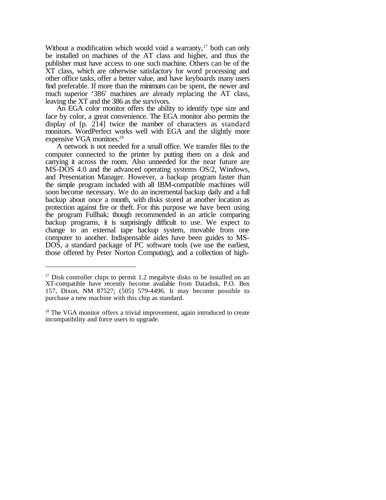Without a modification which would void a warranty, $27$  both can only be installed on machines of the AT class and higher, and thus the publisher must have access to one such machine. Others can be of the XT class, which are otherwise satisfactory for word processing and other office tasks, offer a better value, and have keyboards many users find preferable. If more than the minimum can be spent, the newer and much superior '386' machines are already replacing the AT class, leaving the XT and the 386 as the survivors.

An EGA color monitor offers the ability to identify type size and face by color, a great convenience. The EGA monitor also permits the display of [p. 214] twice the number of characters as standard monitors. WordPerfect works well with EGA and the slightly more expensive VGA monitors.<sup>28</sup>

A network is not needed for a small office. We transfer files to the computer connected to the printer by putting them on a disk and carrying it across the room. Also unneeded for the near future are MS-DOS 4.0 and the advanced operating systems OS/2, Windows, and Presentation Manager. However, a backup program faster than the simple program included with all IBM-compatible machines will soon become necessary. We do an incremental backup daily and a full backup about once a month, with disks stored at another location as protection against fire or theft. For this purpose we have been using the program Fullbak; though recommended in an article comparing backup programs, it is surprisingly difficult to use. We expect to change to an external tape backup system, movable from one computer to another. Indispensable aides have been guides to MS-DOS, a standard package of PC software tools (we use the earliest, those offered by Peter Norton Computing), and a collection of high-

 $27$  Disk controller chips to permit 1.2 megabyte disks to be installed on an XT-compatible have recently become available from Datadisk, P.O. Box 157, Dixon, NM 87527; (505) 579-4496. It may become possible to purchase a new machine with this chip as standard.

<sup>&</sup>lt;sup>28</sup> The VGA monitor offers a trivial improvement, again introduced to create incompatibility and force users to upgrade.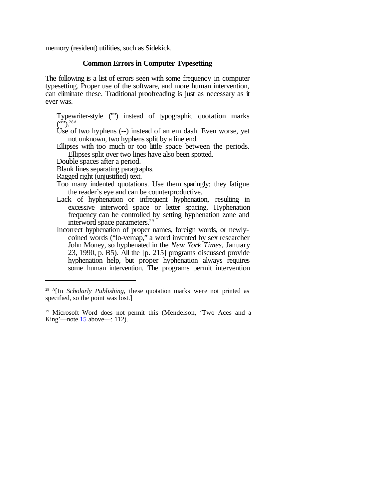memory (resident) utilities, such as Sidekick.

#### **Common Errors in Computer Typesetting**

The following is a list of errors seen with some frequency in computer typesetting. Proper use of the software, and more human intervention, can eliminate these. Traditional proofreading is just as necessary as it ever was.

Typewriter-style ("") instead of typographic quotation marks  $({}^{(0)}).^{28A}$ 

Use of two hyphens (--) instead of an em dash. Even worse, yet not unknown, two hyphens split by a line end.

Ellipses with too much or too little space between the periods. Ellipses split over two lines have also been spotted.

Double spaces after a period.

Blank lines separating paragraphs.

Ragged right (unjustified) text.

- Too many indented quotations. Use them sparingly; they fatigue the reader's eye and can be counterproductive.
- Lack of hyphenation or infrequent hyphenation, resulting in excessive interword space or letter spacing. Hyphenation frequency can be controlled by setting hyphenation zone and interword space parameters.<sup>29</sup>
- Incorrect hyphenation of proper names, foreign words, or newlycoined words ("lo-vemap," a word invented by sex researcher John Money, so hyphenated in the *New York Times*, January 23, 1990, p. B5). All the [p. 215] programs discussed provide hyphenation help, but proper hyphenation always requires some human intervention. The programs permit intervention

<sup>&</sup>lt;sup>28 A</sup>[In *Scholarly Publishing*, these quotation marks were not printed as specified, so the point was lost.]

<sup>&</sup>lt;sup>29</sup> Microsoft Word does not permit this (Mendelson, 'Two Aces and a King'—note  $15$  above—: 112).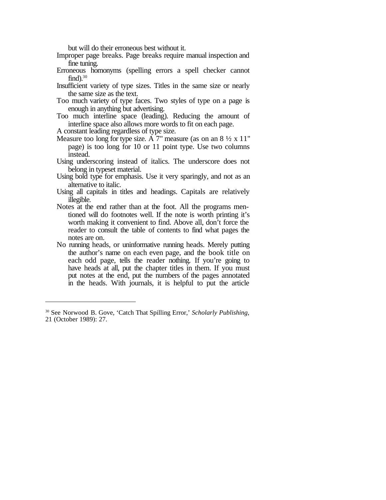but will do their erroneous best without it.

- Improper page breaks. Page breaks require manual inspection and fine tuning.
- Erroneous homonyms (spelling errors a spell checker cannot  $find).^{30}$
- Insufficient variety of type sizes. Titles in the same size or nearly the same size as the text.
- Too much variety of type faces. Two styles of type on a page is enough in anything but advertising.
- Too much interline space (leading). Reducing the amount of interline space also allows more words to fit on each page.
- A constant leading regardless of type size.
- Measure too long for type size. A  $7^{\circ}$  measure (as on an 8  $\frac{1}{2}$  x 11" page) is too long for 10 or 11 point type. Use two columns instead.
- Using underscoring instead of italics. The underscore does not belong in typeset material.
- Using bold type for emphasis. Use it very sparingly, and not as an alternative to italic.
- Using all capitals in titles and headings. Capitals are relatively illegible.
- Notes at the end rather than at the foot. All the programs mentioned will do footnotes well. If the note is worth printing it's worth making it convenient to find. Above all, don't force the reader to consult the table of contents to find what pages the notes are on.
- No running heads, or uninformative running heads. Merely putting the author's name on each even page, and the book title on each odd page, tells the reader nothing. If you're going to have heads at all, put the chapter titles in them. If you must put notes at the end, put the numbers of the pages annotated in the heads. With journals, it is helpful to put the article

<sup>30</sup> See Norwood B. Gove, 'Catch That Spilling Error,' *Scholarly Publishing*, 21 (October 1989): 27.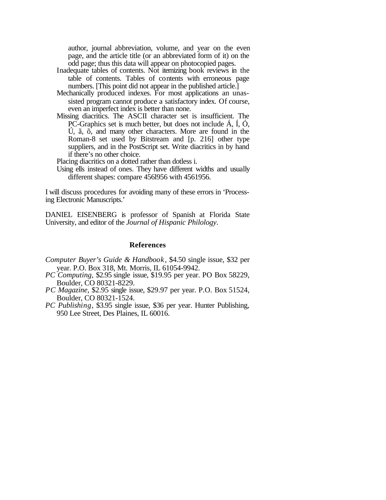author, journal abbreviation, volume, and year on the even page, and the article title (or an abbreviated form of it) on the odd page; thus this data will appear on photocopied pages.

- Inadequate tables of contents. Not itemizing book reviews in the table of contents. Tables of contents with erroneous page numbers. [This point did not appear in the published article.]
- Mechanically produced indexes. For most applications an unassisted program cannot produce a satisfactory index. Of course, even an imperfect index is better than none.
- Missing diacritics. The ASCII character set is insufficient. The PC-Graphics set is much better, but does not include Á, Í, Ó, Ú, ã, õ, and many other characters. More are found in the Roman-8 set used by Bitstream and [p. 216] other type suppliers, and in the PostScript set. Write diacritics in by hand if there's no other choice.

Placing diacritics on a dotted rather than dotless i.

Using ells instead of ones. They have different widths and usually different shapes: compare 456l956 with 4561956.

I will discuss procedures for avoiding many of these errors in 'Processing Electronic Manuscripts.'

DANIEL EISENBERG is professor of Spanish at Florida State University, and editor of the *Journal of Hispanic Philology*.

#### **References**

- *Computer Buyer's Guide & Handbook* , \$4.50 single issue, \$32 per year. P.O. Box 318, Mt. Morris, IL 61054-9942.
- *PC Computing*, \$2.95 single issue, \$19.95 per year. PO Box 58229, Boulder, CO 80321-8229.
- *PC Magazine*, \$2.95 single issue, \$29.97 per year. P.O. Box 51524, Boulder, CO 80321-1524.
- *PC Publishing*, \$3.95 single issue, \$36 per year. Hunter Publishing, 950 Lee Street, Des Plaines, IL 60016.